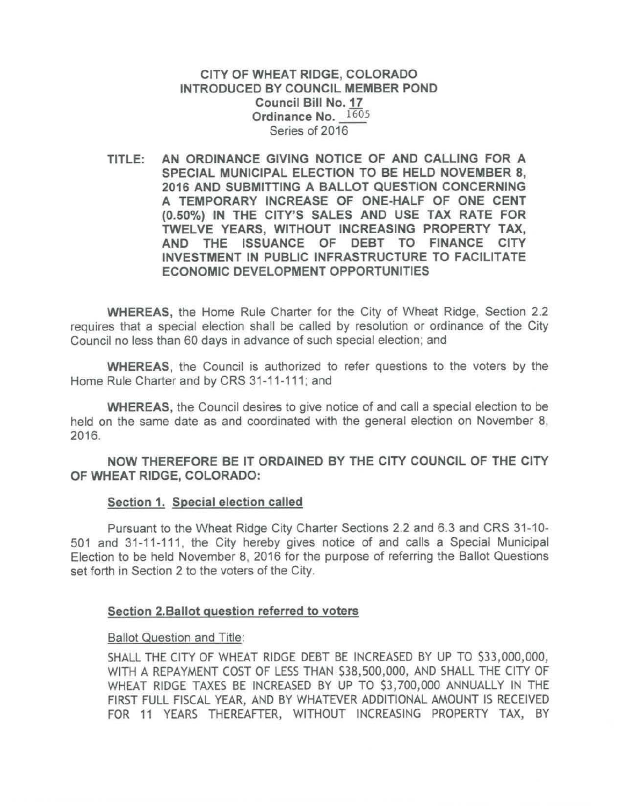CITY OF WHEAT RIDGE, COLORADO INTRODUCED BY COUNCIL MEMBER POND Council Bill No. 17 Ordinance No. 1605 Series of 2016

TITLE: AN ORDINANCE GIVING NOTICE OF AND CALLING FOR A SPECIAL MUNICIPAL ELECTION TO BE HELD NOVEMBER 8, 2016 AND SUBMITTING A BALLOT QUESTION CONCERNING A TEMPORARY INCREASE OF ONE-HALF OF ONE CENT (0.50%) IN THE CITY'S SALES AND USE TAX RATE FOR TWELVE YEARS, WITHOUT INCREASING PROPERTY TAX, AND THE ISSUANCE OF DEBT TO FINANCE CITY INVESTMENT IN PUBLIC INFRASTRUCTURE TO FACILITATE ECONOMIC DEVELOPMENT OPPORTUNITIES

WHEREAS, the Home Rule Charter for the City of Wheat Ridge, Section 2.2 requires that a special election shall be called by resolution or ordinance of the City Council no less than 60 days in advance of such special election; and

WHEREAS, the Council is authorized to refer questions to the voters by the Home Rule Charter and by CRS 31-11-111; and

WHEREAS, the Council desires to give notice of and call a special election to be held on the same date as and coordinated with the general election on November 8, 2016.

NOW THEREFORE BE IT ORDAINED BY THE CITY COUNCIL OF THE CITY OF WHEAT RIDGE, COLORADO:

## Section 1. Special election called

Pursuant to the Wheat Ridge City Charter Sections 2.2 and 6.3 and CRS 31-10- 501 and 31-11-111 , the City hereby gives notice of and calls a Special Municipal Election to be held November 8, 2016 for the purpose of referring the Ballot Questions set forth in Section 2 to the voters of the City.

## Section 2.Ballot question referred to voters

## Ballot Question and Title:

SHALL THE CITY OF WHEAT RIDGE DEBT BE INCREASED BY UP TO \$33,000,000, WITH A REPAYMENT COST OF LESS THAN \$38,500,000, AND SHALL THE CITY OF WHEAT RIDGE TAXES BE INCREASED BY UP TO \$3, 700,000 ANNUALLY IN THE FIRST FULL FISCAL YEAR, AND BY WHATEVER ADDITIONAL AMOUNT IS RECEIVED FOR 11 YEARS THEREAFTER, WITHOUT INCREASING PROPERTY TAX, BY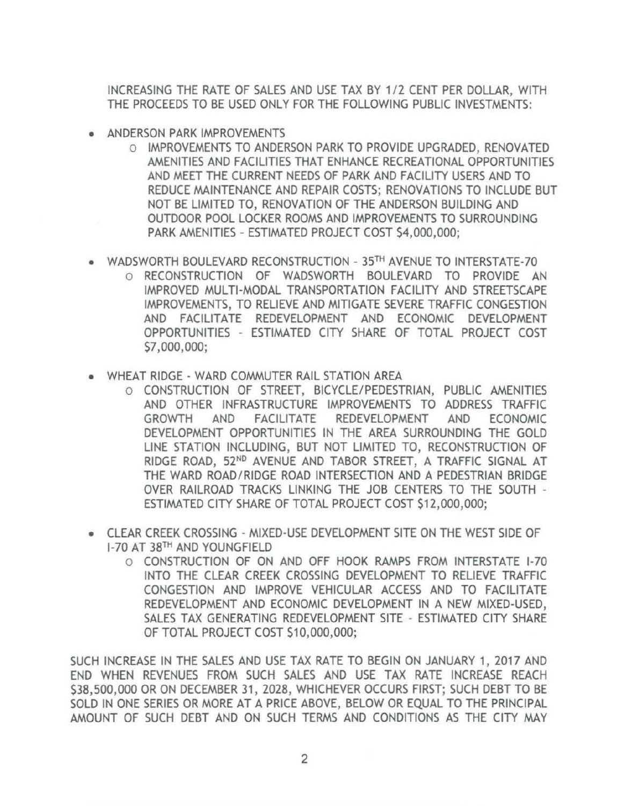INCREASING THE RATE OF SALES AND USE TAX BY 1 / 2 CENT PER DOLLAR, WITH THE PROCEEDS TO BE USED ONLY FOR THE FOLLOWING PUBLIC INVESTMENTS:

- ANDERSON PARK IMPROVEMENTS
	- o IMPROVEMENTS TO ANDERSON PARK TO PROVIDE UPGRADED, RENOVATED AMENITIES AND FACILITIES THAT ENHANCE RECREATIONAL OPPORTUNITIES AND MEET THE CURRENT NEEDS OF PARK AND FACILITY USERS AND TO REDUCE MAINTENANCE AND REPAIR COSTS; RENOVATIONS TO INCLUDE BUT NOT BE LIMITED TO, RENOVATION OF THE ANDERSON BUILDING AND OUTDOOR POOL LOCKER ROOMS AND IMPROVEMENTS TO SURROUNDING PARK AMENITIES - ESTIMATED PROJECT COST \$4,000,000;
- WADSWORTH BOULEVARD RECONSTRUCTION 35TH AVENUE TO INTERSTATE-70 o RECONSTRUCTION OF WADSWORTH BOULEVARD TO PROVIDE AN IMPROVED MULTI-MODAL TRANSPORTATION FACILITY AND STREETSCAPE IMPROVEMENTS, TO RELIEVE AND MITIGATE SEVERE TRAFFIC CONGESTION AND FACILITATE REDEVELOPMENT AND ECONOMIC DEVELOPMENT OPPORTUNITIES - ESTIMATED CITY SHARE OF TOTAL PROJECT COST \$7,000,000;
- WHEAT RIDGE WARD COMMUTER RAIL STATION AREA
	- o CONSTRUCTION OF STREET, BICYCLE/ PEDESTRIAN, PUBLIC AMENITIES AND OTHER INFRASTRUCTURE IMPROVEMENTS TO ADDRESS TRAFFIC GROWTH AND FACILITATE REDEVELOPMENT AND ECONOMIC DEVELOPMENT OPPORTUNITIES IN THE AREA SURROUNDING THE GOLD LINE STATION INCLUDING, BUT NOT LIMITED TO, RECONSTRUCTION OF RIDGE ROAD, 52ND AVENUE AND TABOR STREET, A TRAFFIC SIGNAL AT THE WARD ROAD/ RIDGE ROAD INTERSECTION AND A PEDESTRIAN BRIDGE OVER RAILROAD TRACKS LINKING THE JOB CENTERS TO THE SOUTH - ESTIMATED CITY SHARE OF TOTAL PROJECT COST \$12,000,000;
- CLEAR CREEK CROSSING MIXED-USE DEVELOPMENT SITE ON THE WEST SIDE OF 1-70 AT 38TH AND YOUNGFIELD
	- o CONSTRUCTION OF ON AND OFF HOOK RAMPS FROM INTERSTATE 1-70 INTO THE CLEAR CREEK CROSSING DEVELOPMENT TO RELIEVE TRAFFIC CONGESTION AND IMPROVE VEHICULAR ACCESS AND TO FACILITATE REDEVELOPMENT AND ECONOMIC DEVELOPMENT IN A NEW MIXED-USED, SALES TAX GENERATING REDEVELOPMENT SITE - ESTIMATED CITY SHARE OF TOTAL PROJECT COST \$10,000,000;

SUCH INCREASE IN THE SALES AND USE TAX RATE TO BEGIN ON JANUARY 1, 2017 AND END WHEN REVENUES FROM SUCH SALES AND USE TAX RATE INCREASE REACH \$38,500,000 OR ON DECEMBER 31 , 2028, WHICHEVER OCCURS FIRST; SUCH DEBT TO BE SOLD IN ONE SERIES OR MORE AT A PRICE ABOVE, BELOW OR EQUAL TO THE PRINCIPAL AMOUNT OF SUCH DEBT AND ON SUCH TERMS AND CONDITIONS AS THE CITY MAY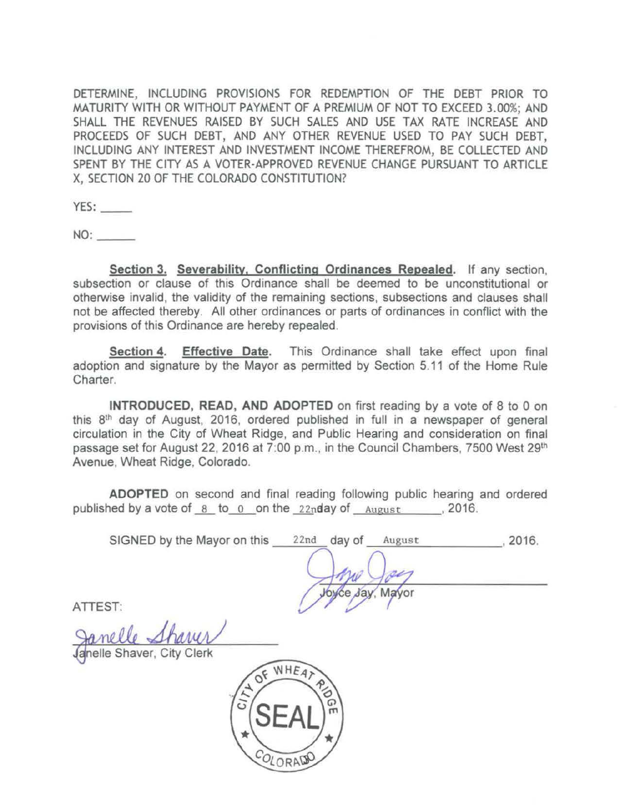DETERMINE, INCLUDING PROVISIONS FOR REDEMPTION OF THE DEBT PRIOR TO MATURITY WITH OR WITHOUT PAYMENT OF A PREMIUM OF NOT TO EXCEED 3.00%; AND SHALL THE REVENUES RAISED BY SUCH SALES AND USE TAX RATE INCREASE AND PROCEEDS OF SUCH DEBT, AND ANY OTHER REVENUE USED TO PAY SUCH DEBT, INCLUDING ANY INTEREST AND INVESTMENT INCOME THEREFROM, BE COLLECTED AND SPENT BY THE CITY AS A VOTER-APPROVED REVENUE CHANGE PURSUANT TO ARTICLE X, SECTION 20 OF THE COLORADO CONSTITUTION?

YES:

 $NO:$ 

Section 3. Severability, Conflicting Ordinances Repealed. If any section, subsection or clause of this Ordinance shall be deemed to be unconstitutional or otherwise invalid, the validity of the remaining sections, subsections and clauses shall not be affected thereby. All other ordinances or parts of ordinances in conflict with the provisions of this Ordinance are hereby repealed.

Section 4. Effective Date. This Ordinance shall take effect upon final adoption and signature by the Mayor as permitted by Section 5.11 of the Home Rule Charter.

INTRODUCED, READ, AND ADOPTED on first reading by a vote of 8 to 0 on this 8<sup>th</sup> day of August, 2016, ordered published in full in a newspaper of general circulation in the City of Wheat Ridge, and Public Hearing and consideration on final passage set for August 22, 2016 at 7:00 p.m., in the Council Chambers, 7500 West 29<sup>th</sup> Avenue, Wheat Ridge, Colorado.

ADOPTED on second and final reading following public hearing and ordered published by a vote of  $8$  to  $0$  on the 22nday of  $\Delta u_{\text{gust}}$  , 2016.

SIGNED by the Mayor on this \_\_\_ 22nd \_\_ day of \_\_ August \_\_\_\_\_\_\_ , 2016.

ATIEST:

nelle Shaver, City Clerk